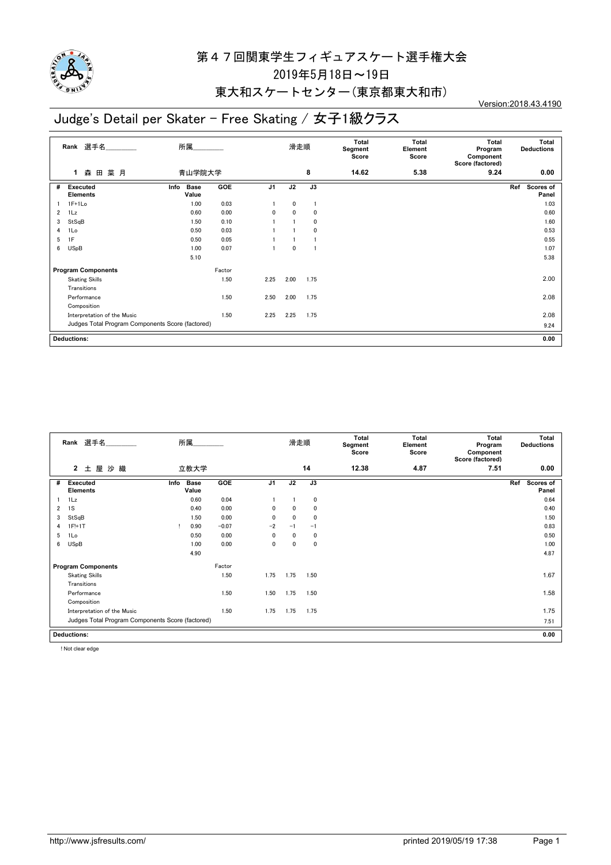

#### 東大和スケートセンター(東京都東大和市)

# Judge's Detail per Skater - Free Skating / 女子1級クラス

Version:2018.43.4190

|                | Rank 選手名                                         | 所属                           |        |                |      | 滑走順  | Total<br>Segment<br>Score | Total<br>Element<br>Score | Total<br>Program<br>Component<br>Score (factored) | Total<br><b>Deductions</b>       |
|----------------|--------------------------------------------------|------------------------------|--------|----------------|------|------|---------------------------|---------------------------|---------------------------------------------------|----------------------------------|
|                | 菜月<br>森田<br>1                                    | 青山学院大学                       |        |                |      | 8    | 14.62                     | 5.38                      | 9.24                                              | 0.00                             |
| #              | <b>Executed</b><br><b>Elements</b>               | <b>Base</b><br>Info<br>Value | GOE    | J <sub>1</sub> | J2   | J3   |                           |                           |                                                   | Ref<br><b>Scores of</b><br>Panel |
|                | $1F+1Lo$                                         | 1.00                         | 0.03   |                | 0    |      |                           |                           |                                                   | 1.03                             |
| $\overline{2}$ | 1Lz                                              | 0.60                         | 0.00   | 0              | 0    | 0    |                           |                           |                                                   | 0.60                             |
| 3              | StSqB                                            | 1.50                         | 0.10   |                |      | 0    |                           |                           |                                                   | 1.60                             |
| 4              | 1Lo                                              | 0.50                         | 0.03   |                |      | 0    |                           |                           |                                                   | 0.53                             |
| 5              | 1F                                               | 0.50                         | 0.05   |                |      |      |                           |                           |                                                   | 0.55                             |
| 6              | <b>USpB</b>                                      | 1.00                         | 0.07   |                | 0    |      |                           |                           |                                                   | 1.07                             |
|                |                                                  | 5.10                         |        |                |      |      |                           |                           |                                                   | 5.38                             |
|                | <b>Program Components</b>                        |                              | Factor |                |      |      |                           |                           |                                                   |                                  |
|                | <b>Skating Skills</b>                            |                              | 1.50   | 2.25           | 2.00 | 1.75 |                           |                           |                                                   | 2.00                             |
|                | Transitions                                      |                              |        |                |      |      |                           |                           |                                                   |                                  |
|                | Performance                                      |                              | 1.50   | 2.50           | 2.00 | 1.75 |                           |                           |                                                   | 2.08                             |
|                | Composition                                      |                              |        |                |      |      |                           |                           |                                                   |                                  |
|                | Interpretation of the Music                      |                              | 1.50   | 2.25           | 2.25 | 1.75 |                           |                           |                                                   | 2.08                             |
|                | Judges Total Program Components Score (factored) |                              |        |                |      |      |                           |                           |                                                   | 9.24                             |
|                | <b>Deductions:</b>                               |                              |        |                |      |      |                           |                           |                                                   | 0.00                             |

|   | Rank 選手名                                         |                              | 滑走順     |                | Total<br>Segment<br>Score | Total<br>Element<br>Score | Total<br>Program<br>Component<br>Score (factored) | Total<br><b>Deductions</b> |      |                           |  |  |
|---|--------------------------------------------------|------------------------------|---------|----------------|---------------------------|---------------------------|---------------------------------------------------|----------------------------|------|---------------------------|--|--|
|   | $\mathbf{2}$<br>屋<br>沙織<br>土                     | 立教大学                         |         |                |                           | 14                        | 12.38                                             | 4.87                       | 7.51 | 0.00                      |  |  |
| # | <b>Executed</b><br><b>Elements</b>               | Info<br><b>Base</b><br>Value | GOE     | J <sub>1</sub> | J2                        | J3                        |                                                   |                            |      | Scores of<br>Ref<br>Panel |  |  |
|   | 1Lz                                              | 0.60                         | 0.04    |                |                           | 0                         |                                                   |                            |      | 0.64                      |  |  |
| 2 | 1S                                               | 0.40                         | 0.00    | $\mathbf{0}$   | 0                         | 0                         |                                                   |                            |      | 0.40                      |  |  |
| 3 | StSqB                                            | 1.50                         | 0.00    | $\mathbf{0}$   | 0                         | $\mathbf{0}$              |                                                   |                            |      | 1.50                      |  |  |
| 4 | $1F!+1T$                                         | 0.90                         | $-0.07$ | $-2$           | $-1$                      | $-1$                      |                                                   |                            |      | 0.83                      |  |  |
| 5 | 1Lo                                              | 0.50                         | 0.00    | 0              | $\mathbf{0}$              | 0                         |                                                   |                            |      | 0.50                      |  |  |
| 6 | <b>USpB</b>                                      | 1.00                         | 0.00    | 0              | 0                         | $\mathbf 0$               |                                                   |                            |      | 1.00                      |  |  |
|   |                                                  | 4.90                         |         |                |                           |                           |                                                   |                            |      | 4.87                      |  |  |
|   | <b>Program Components</b>                        |                              | Factor  |                |                           |                           |                                                   |                            |      |                           |  |  |
|   | <b>Skating Skills</b>                            |                              | 1.50    | 1.75           | 1.75                      | 1.50                      |                                                   |                            |      | 1.67                      |  |  |
|   | Transitions                                      |                              |         |                |                           |                           |                                                   |                            |      |                           |  |  |
|   | Performance                                      |                              | 1.50    | 1.50           | 1.75                      | 1.50                      |                                                   |                            |      | 1.58                      |  |  |
|   | Composition                                      |                              |         |                |                           |                           |                                                   |                            |      |                           |  |  |
|   | Interpretation of the Music                      |                              | 1.50    | 1.75           | 1.75                      | 1.75                      |                                                   |                            |      | 1.75                      |  |  |
|   | Judges Total Program Components Score (factored) |                              |         |                |                           |                           |                                                   |                            |      | 7.51                      |  |  |
|   | <b>Deductions:</b><br>0.00                       |                              |         |                |                           |                           |                                                   |                            |      |                           |  |  |

! Not clear edge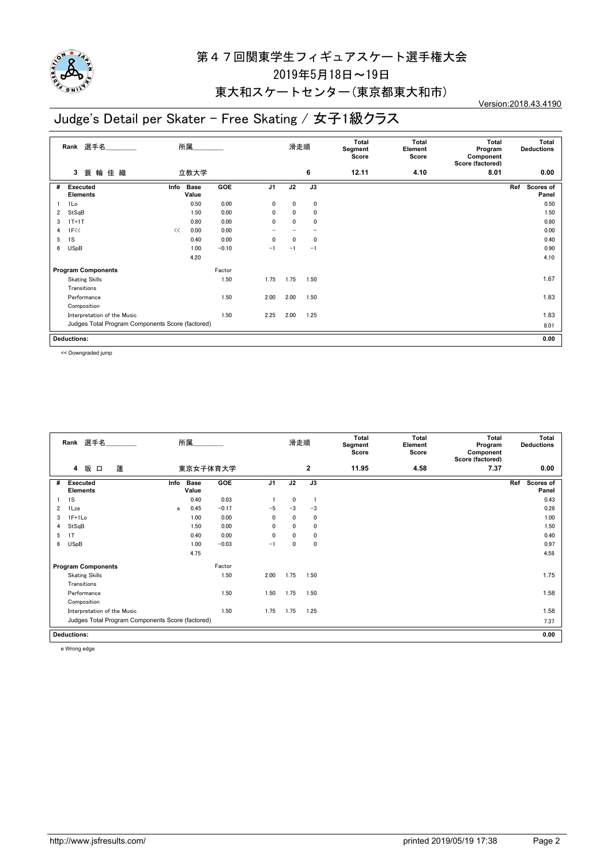

#### 東大和スケートセンター(東京都東大和市)

## Judge's Detail per Skater - Free Skating / 女子1級クラス

Version:2018.43.4190

|   | Rank 選手名                                         |       | 所属                   |         |                |              | 滑走順          | Total<br>Segment<br>Score | Total<br>Element<br>Score | Total<br>Program<br>Component<br>Score (factored) | Total<br><b>Deductions</b> |
|---|--------------------------------------------------|-------|----------------------|---------|----------------|--------------|--------------|---------------------------|---------------------------|---------------------------------------------------|----------------------------|
|   | 蓑輪佳織<br>3                                        |       | 立教大学                 |         |                |              | 6            | 12.11                     | 4.10                      | 8.01                                              | 0.00                       |
| # | <b>Executed</b><br><b>Elements</b>               | Info  | <b>Base</b><br>Value | GOE     | J <sub>1</sub> | J2           | J3           |                           |                           |                                                   | Ref<br>Scores of<br>Panel  |
|   | 1Lo                                              |       | 0.50                 | 0.00    | 0              | 0            | 0            |                           |                           |                                                   | 0.50                       |
| 2 | StSqB                                            |       | 1.50                 | 0.00    | 0              | 0            | $\mathbf 0$  |                           |                           |                                                   | 1.50                       |
| 3 | $1T+1T$                                          |       | 0.80                 | 0.00    | 0              | 0            | $\mathbf{0}$ |                           |                           |                                                   | 0.80                       |
| 4 | 1F<<                                             | $\ll$ | 0.00                 | 0.00    |                |              |              |                           |                           |                                                   | 0.00                       |
| 5 | 1S                                               |       | 0.40                 | 0.00    | 0              | $\mathbf{0}$ | $\mathbf{0}$ |                           |                           |                                                   | 0.40                       |
| 6 | <b>USpB</b>                                      |       | 1.00                 | $-0.10$ | $-1$           | $-1$         | $-1$         |                           |                           |                                                   | 0.90                       |
|   |                                                  |       | 4.20                 |         |                |              |              |                           |                           |                                                   | 4.10                       |
|   | <b>Program Components</b>                        |       |                      | Factor  |                |              |              |                           |                           |                                                   |                            |
|   | <b>Skating Skills</b>                            |       |                      | 1.50    | 1.75           | 1.75         | 1.50         |                           |                           |                                                   | 1.67                       |
|   | Transitions                                      |       |                      |         |                |              |              |                           |                           |                                                   |                            |
|   | Performance                                      |       |                      | 1.50    | 2.00           | 2.00         | 1.50         |                           |                           |                                                   | 1.83                       |
|   | Composition                                      |       |                      |         |                |              |              |                           |                           |                                                   |                            |
|   | Interpretation of the Music                      |       |                      | 1.50    | 2.25           | 2.00         | 1.25         |                           |                           |                                                   | 1.83                       |
|   | Judges Total Program Components Score (factored) |       |                      |         |                |              |              |                           |                           |                                                   | 8.01                       |
|   | <b>Deductions:</b>                               |       |                      |         |                |              |              |                           |                           |                                                   | 0.00                       |

<< Downgraded jump

|                | Rank 選手名<br>所属                                   |      |                      |          |                | 滑走順          |              | Total<br>Segment<br>Score | Total<br>Element<br>Score | Total<br>Program<br>Component<br>Score (factored) | Total<br><b>Deductions</b>       |
|----------------|--------------------------------------------------|------|----------------------|----------|----------------|--------------|--------------|---------------------------|---------------------------|---------------------------------------------------|----------------------------------|
|                | 坂 口<br>蓮<br>4                                    |      |                      | 東京女子体育大学 |                |              | $\mathbf{2}$ | 11.95                     | 4.58                      | 7.37                                              | 0.00                             |
| #              | <b>Executed</b><br><b>Elements</b>               | Info | <b>Base</b><br>Value | GOE      | J <sub>1</sub> | J2           | J3           |                           |                           |                                                   | Ref<br><b>Scores of</b><br>Panel |
|                | 1S                                               |      | 0.40                 | 0.03     |                | 0            |              |                           |                           |                                                   | 0.43                             |
| $\overline{2}$ | 1Lze                                             | e    | 0.45                 | $-0.17$  | $-5$           | $-3$         | $-3$         |                           |                           |                                                   | 0.28                             |
| 3              | $1F+1Lo$                                         |      | 1.00                 | 0.00     | 0              | 0            | $\mathbf 0$  |                           |                           |                                                   | 1.00                             |
| 4              | StSqB                                            |      | 1.50                 | 0.00     | $\mathbf{0}$   | $\mathbf{0}$ | 0            |                           |                           |                                                   | 1.50                             |
| 5              | 1T                                               |      | 0.40                 | 0.00     | $\mathbf{0}$   | $\mathbf{0}$ | 0            |                           |                           |                                                   | 0.40                             |
| 6              | <b>USpB</b>                                      |      | 1.00                 | $-0.03$  | $-1$           | 0            | 0            |                           |                           |                                                   | 0.97                             |
|                |                                                  |      | 4.75                 |          |                |              |              |                           |                           |                                                   | 4.58                             |
|                | <b>Program Components</b>                        |      |                      | Factor   |                |              |              |                           |                           |                                                   |                                  |
|                | <b>Skating Skills</b>                            |      |                      | 1.50     | 2.00           | 1.75         | 1.50         |                           |                           |                                                   | 1.75                             |
|                | Transitions                                      |      |                      |          |                |              |              |                           |                           |                                                   |                                  |
|                | Performance                                      |      |                      | 1.50     | 1.50           | 1.75         | 1.50         |                           |                           |                                                   | 1.58                             |
|                | Composition                                      |      |                      |          |                |              |              |                           |                           |                                                   |                                  |
|                | Interpretation of the Music                      |      |                      | 1.50     | 1.75           | 1.75         | 1.25         |                           |                           |                                                   | 1.58                             |
|                | Judges Total Program Components Score (factored) |      |                      |          |                |              |              |                           |                           |                                                   | 7.37                             |
|                | <b>Deductions:</b>                               |      |                      |          |                |              |              |                           |                           |                                                   | 0.00                             |
|                |                                                  |      |                      |          |                |              |              |                           |                           |                                                   |                                  |

e Wrong edge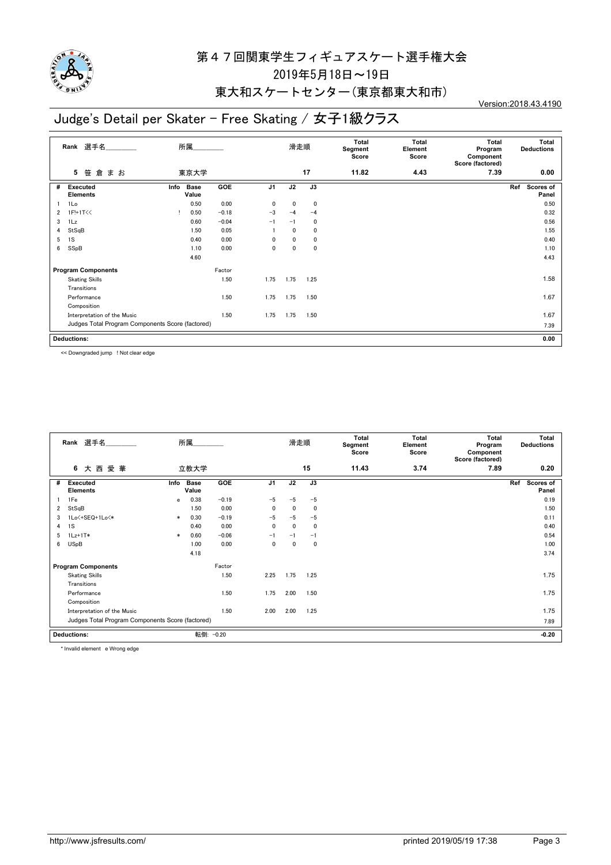

#### 東大和スケートセンター(東京都東大和市)

# Judge's Detail per Skater - Free Skating / 女子1級クラス

Version:2018.43.4190

|                | Rank 選手名<br>所属                                   |                              |         |                | 滑走順          |      | Total<br>Segment<br>Score | Total<br>Element<br>Score | Total<br>Program<br>Component<br>Score (factored) | Total<br><b>Deductions</b> |
|----------------|--------------------------------------------------|------------------------------|---------|----------------|--------------|------|---------------------------|---------------------------|---------------------------------------------------|----------------------------|
|                | まお<br>5<br>笹<br>倉                                | 東京大学                         |         |                |              | 17   | 11.82                     | 4.43                      | 7.39                                              | 0.00                       |
| #              | <b>Executed</b><br><b>Elements</b>               | <b>Base</b><br>Info<br>Value | GOE     | J <sub>1</sub> | J2           | J3   |                           |                           |                                                   | Scores of<br>Ref<br>Panel  |
|                | 1Lo                                              | 0.50                         | 0.00    | 0              | $\mathbf{0}$ | 0    |                           |                           |                                                   | 0.50                       |
| $\overline{2}$ | 1F!+1T<<                                         | 0.50                         | $-0.18$ | $-3$           | $-4$         | $-4$ |                           |                           |                                                   | 0.32                       |
| 3              | 1Lz                                              | 0.60                         | $-0.04$ | $-1$           | $-1$         | 0    |                           |                           |                                                   | 0.56                       |
| 4              | StSqB                                            | 1.50                         | 0.05    |                | 0            | 0    |                           |                           |                                                   | 1.55                       |
| 5              | 1S                                               | 0.40                         | 0.00    | 0              | 0            | 0    |                           |                           |                                                   | 0.40                       |
| 6              | SSpB                                             | 1.10                         | 0.00    | 0              | 0            | 0    |                           |                           |                                                   | 1.10                       |
|                |                                                  | 4.60                         |         |                |              |      |                           |                           |                                                   | 4.43                       |
|                | <b>Program Components</b>                        |                              | Factor  |                |              |      |                           |                           |                                                   |                            |
|                | <b>Skating Skills</b>                            |                              | 1.50    | 1.75           | 1.75         | 1.25 |                           |                           |                                                   | 1.58                       |
|                | Transitions                                      |                              |         |                |              |      |                           |                           |                                                   |                            |
|                | Performance                                      |                              | 1.50    | 1.75           | 1.75         | 1.50 |                           |                           |                                                   | 1.67                       |
|                | Composition                                      |                              |         |                |              |      |                           |                           |                                                   |                            |
|                | Interpretation of the Music                      |                              | 1.50    | 1.75           | 1.75         | 1.50 |                           |                           |                                                   | 1.67                       |
|                | Judges Total Program Components Score (factored) |                              |         |                |              |      |                           |                           |                                                   | 7.39                       |
|                | <b>Deductions:</b>                               |                              |         |                |              |      |                           |                           |                                                   | 0.00                       |

<< Downgraded jump ! Not clear edge

|                                 | Rank 選手名                                         |        | 所属                   |            |                | 滑走順          |      | Total<br>Segment<br>Score | Total<br>Element<br>Score | Total<br>Program<br>Component<br>Score (factored) |     | <b>Total</b><br><b>Deductions</b> |
|---------------------------------|--------------------------------------------------|--------|----------------------|------------|----------------|--------------|------|---------------------------|---------------------------|---------------------------------------------------|-----|-----------------------------------|
|                                 | 愛華<br>6<br>大西                                    |        | 立教大学                 |            |                |              | 15   | 11.43                     | 3.74                      | 7.89                                              |     | 0.20                              |
| #                               | <b>Executed</b><br><b>Elements</b>               | Info   | <b>Base</b><br>Value | <b>GOE</b> | J <sub>1</sub> | J2           | J3   |                           |                           |                                                   | Ref | Scores of<br>Panel                |
|                                 | 1Fe                                              | e      | 0.38                 | $-0.19$    | $-5$           | $-5$         | $-5$ |                           |                           |                                                   |     | 0.19                              |
| 2                               | StSqB                                            |        | 1.50                 | 0.00       | $\mathbf{0}$   | $\mathbf{0}$ | 0    |                           |                           |                                                   |     | 1.50                              |
| 3                               | 1Lo<+SEQ+1Lo<*                                   | $\ast$ | 0.30                 | $-0.19$    | $-5$           | $-5$         | $-5$ |                           |                           |                                                   |     | 0.11                              |
| 4                               | 1S                                               |        | 0.40                 | 0.00       | 0              | 0            | 0    |                           |                           |                                                   |     | 0.40                              |
| 5                               | $1Lz+1T*$                                        | $\ast$ | 0.60                 | $-0.06$    | $-1$           | $-1$         | $-1$ |                           |                           |                                                   |     | 0.54                              |
| 6                               | <b>USpB</b>                                      |        | 1.00                 | 0.00       | 0              | $\mathbf 0$  | 0    |                           |                           |                                                   |     | 1.00                              |
|                                 |                                                  |        | 4.18                 |            |                |              |      |                           |                           |                                                   |     | 3.74                              |
|                                 | <b>Program Components</b>                        |        |                      | Factor     |                |              |      |                           |                           |                                                   |     |                                   |
|                                 | <b>Skating Skills</b>                            |        |                      | 1.50       | 2.25           | 1.75         | 1.25 |                           |                           |                                                   |     | 1.75                              |
|                                 | Transitions                                      |        |                      |            |                |              |      |                           |                           |                                                   |     |                                   |
|                                 | Performance                                      |        |                      | 1.50       | 1.75           | 2.00         | 1.50 |                           |                           |                                                   |     | 1.75                              |
|                                 | Composition                                      |        |                      |            |                |              |      |                           |                           |                                                   |     |                                   |
|                                 | Interpretation of the Music                      |        |                      | 1.50       | 2.00           | 2.00         | 1.25 |                           |                           |                                                   |     | 1.75                              |
|                                 | Judges Total Program Components Score (factored) |        |                      |            |                |              |      |                           |                           |                                                   |     | 7.89                              |
| 転倒: -0.20<br><b>Deductions:</b> |                                                  |        |                      |            |                |              |      |                           |                           |                                                   |     | $-0.20$                           |

\* Invalid element e Wrong edge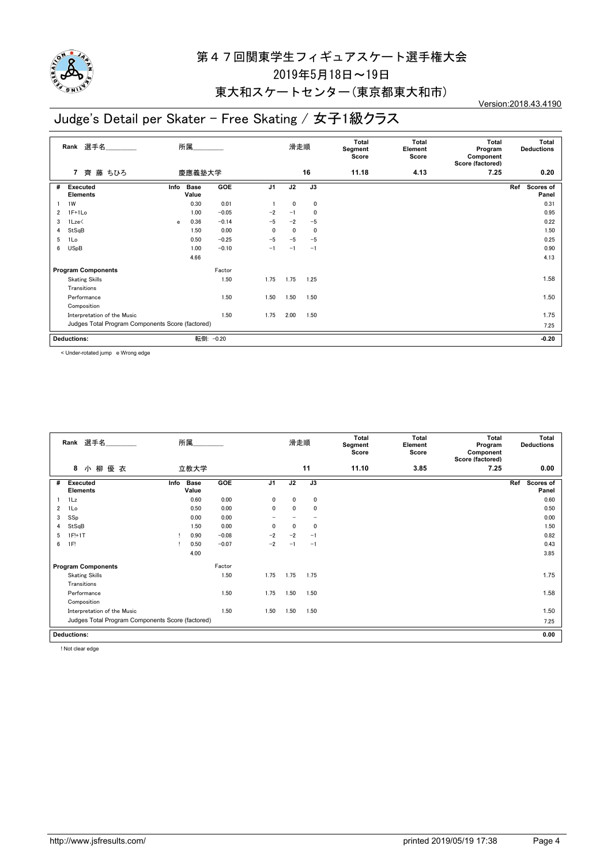

#### 東大和スケートセンター(東京都東大和市)

## Judge's Detail per Skater - Free Skating / 女子1級クラス

Version:2018.43.4190

|   | 選手名<br>Rank                                      | 所属.<br>慶應義塾大学 |                      |            |                | 滑走順          |      |       | Total<br>Element<br>Score | Total<br>Program<br>Component<br>Score (factored) | Total<br><b>Deductions</b> |
|---|--------------------------------------------------|---------------|----------------------|------------|----------------|--------------|------|-------|---------------------------|---------------------------------------------------|----------------------------|
|   | 藤 ちひろ<br>$\overline{7}$<br>齊                     |               |                      |            |                |              | 16   | 11.18 | 4.13                      | 7.25                                              | 0.20                       |
| # | <b>Executed</b><br><b>Elements</b>               | Info          | <b>Base</b><br>Value | <b>GOE</b> | J <sub>1</sub> | J2           | J3   |       |                           |                                                   | Scores of<br>Ref<br>Panel  |
|   | 1W                                               |               | 0.30                 | 0.01       |                | $\mathbf{0}$ | 0    |       |                           |                                                   | 0.31                       |
| 2 | $1F+1Lo$                                         |               | 1.00                 | $-0.05$    | $-2$           | $-1$         | 0    |       |                           |                                                   | 0.95                       |
| 3 | 1Lze<                                            | e             | 0.36                 | $-0.14$    | $-5$           | $-2$         | $-5$ |       |                           |                                                   | 0.22                       |
| 4 | StSqB                                            |               | 1.50                 | 0.00       | $\mathbf{0}$   | 0            | 0    |       |                           |                                                   | 1.50                       |
| 5 | 1Lo                                              |               | 0.50                 | $-0.25$    | $-5$           | $-5$         | $-5$ |       |                           |                                                   | 0.25                       |
| 6 | <b>USpB</b>                                      |               | 1.00                 | $-0.10$    | $-1$           | $-1$         | $-1$ |       |                           |                                                   | 0.90                       |
|   |                                                  |               | 4.66                 |            |                |              |      |       |                           |                                                   | 4.13                       |
|   | <b>Program Components</b>                        |               |                      | Factor     |                |              |      |       |                           |                                                   |                            |
|   | <b>Skating Skills</b>                            |               |                      | 1.50       | 1.75           | 1.75         | 1.25 |       |                           |                                                   | 1.58                       |
|   | Transitions                                      |               |                      |            |                |              |      |       |                           |                                                   |                            |
|   | Performance                                      |               |                      | 1.50       | 1.50           | 1.50         | 1.50 |       |                           |                                                   | 1.50                       |
|   | Composition                                      |               |                      |            |                |              |      |       |                           |                                                   |                            |
|   | Interpretation of the Music                      |               |                      | 1.50       | 1.75           | 2.00         | 1.50 |       |                           |                                                   | 1.75                       |
|   | Judges Total Program Components Score (factored) |               |                      |            |                |              |      |       |                           |                                                   | 7.25                       |
|   | <b>Deductions:</b>                               |               | 転倒:                  | $-0.20$    |                |              |      |       |                           |                                                   | $-0.20$                    |

< Under-rotated jump e Wrong edge

|   | Rank 選手名                                         | 所属   |                      |            |                | 滑走順          |      | Total<br>Segment<br>Score | Total<br>Element<br>Score | Total<br>Program<br>Component<br>Score (factored) | <b>Total</b><br><b>Deductions</b> |  |
|---|--------------------------------------------------|------|----------------------|------------|----------------|--------------|------|---------------------------|---------------------------|---------------------------------------------------|-----------------------------------|--|
|   | 8<br>小柳<br>優 衣                                   |      | 立教大学                 |            |                |              | 11   | 11.10                     | 3.85                      | 7.25                                              | 0.00                              |  |
| # | <b>Executed</b><br><b>Elements</b>               | Info | <b>Base</b><br>Value | <b>GOE</b> | J <sub>1</sub> | J2           | J3   |                           |                           |                                                   | Ref<br>Scores of<br>Panel         |  |
|   | 1Lz                                              |      | 0.60                 | 0.00       | $\mathbf{0}$   | $\mathbf{0}$ | 0    |                           |                           |                                                   | 0.60                              |  |
| 2 | 1Lo                                              |      | 0.50                 | 0.00       | $\mathbf{0}$   | $\Omega$     | 0    |                           |                           |                                                   | 0.50                              |  |
| 3 | SSp                                              |      | 0.00                 | 0.00       |                |              |      |                           |                           |                                                   | 0.00                              |  |
| 4 | StSqB                                            |      | 1.50                 | 0.00       | $\mathbf{0}$   | $\mathbf{0}$ | 0    |                           |                           |                                                   | 1.50                              |  |
| 5 | $1F!+1T$                                         | л.   | 0.90                 | $-0.08$    | $-2$           | $-2$         | $-1$ |                           |                           |                                                   | 0.82                              |  |
| 6 | 1F!                                              |      | 0.50                 | $-0.07$    | $-2$           | $-1$         | $-1$ |                           |                           |                                                   | 0.43                              |  |
|   |                                                  |      | 4.00                 |            |                |              |      |                           |                           |                                                   | 3.85                              |  |
|   | <b>Program Components</b>                        |      |                      | Factor     |                |              |      |                           |                           |                                                   |                                   |  |
|   | <b>Skating Skills</b>                            |      |                      | 1.50       | 1.75           | 1.75         | 1.75 |                           |                           |                                                   | 1.75                              |  |
|   | Transitions                                      |      |                      |            |                |              |      |                           |                           |                                                   |                                   |  |
|   | Performance                                      |      |                      | 1.50       | 1.75           | 1.50         | 1.50 |                           |                           |                                                   | 1.58                              |  |
|   | Composition                                      |      |                      |            |                |              |      |                           |                           |                                                   |                                   |  |
|   | Interpretation of the Music                      |      |                      | 1.50       | 1.50           | 1.50         | 1.50 |                           |                           |                                                   | 1.50                              |  |
|   | Judges Total Program Components Score (factored) |      |                      |            |                |              |      |                           |                           |                                                   | 7.25                              |  |
|   | <b>Deductions:</b>                               |      |                      |            |                |              |      |                           |                           | 0.00                                              |                                   |  |

! Not clear edge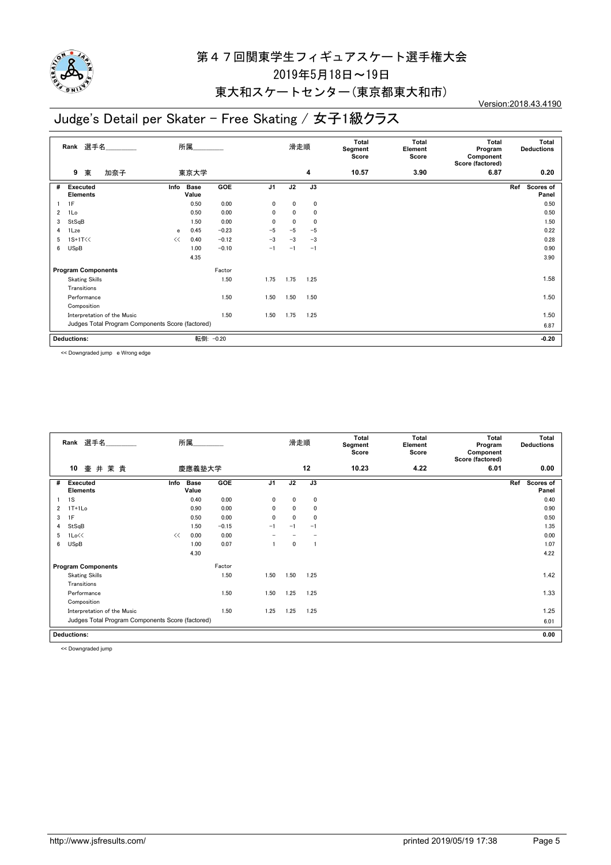

#### 東大和スケートセンター(東京都東大和市)

## Judge's Detail per Skater - Free Skating / 女子1級クラス

Version:2018.43.4190

|   | Rank 選手名                                         | 所属<br>東京大学   |                      |         |                | 滑走順          |      | Total<br>Segment<br>Score | Total<br>Element<br>Score | Total<br>Program<br>Component<br>Score (factored) | Total<br><b>Deductions</b> |
|---|--------------------------------------------------|--------------|----------------------|---------|----------------|--------------|------|---------------------------|---------------------------|---------------------------------------------------|----------------------------|
|   | 東<br>加奈子<br>9                                    |              |                      |         |                |              | 4    | 10.57                     | 3.90                      | 6.87                                              | 0.20                       |
| # | <b>Executed</b><br><b>Elements</b>               | Info         | <b>Base</b><br>Value | GOE     | J <sub>1</sub> | J2           | J3   |                           |                           |                                                   | Scores of<br>Ref<br>Panel  |
|   | 1F                                               |              | 0.50                 | 0.00    | 0              | $\mathbf{0}$ | 0    |                           |                           |                                                   | 0.50                       |
| 2 | 1Lo                                              |              | 0.50                 | 0.00    | 0              | $\mathbf{0}$ | 0    |                           |                           |                                                   | 0.50                       |
| 3 | StSqB                                            |              | 1.50                 | 0.00    | 0              | 0            | 0    |                           |                           |                                                   | 1.50                       |
| 4 | 1Lze                                             | $\mathbf{e}$ | 0.45                 | $-0.23$ | $-5$           | $-5$         | $-5$ |                           |                           |                                                   | 0.22                       |
| 5 | $1S+1T<<$                                        | <<           | 0.40                 | $-0.12$ | $-3$           | $-3$         | $-3$ |                           |                           |                                                   | 0.28                       |
| 6 | <b>USpB</b>                                      |              | 1.00                 | $-0.10$ | $-1$           | $-1$         | $-1$ |                           |                           |                                                   | 0.90                       |
|   |                                                  |              | 4.35                 |         |                |              |      |                           |                           |                                                   | 3.90                       |
|   | <b>Program Components</b>                        |              |                      | Factor  |                |              |      |                           |                           |                                                   |                            |
|   | <b>Skating Skills</b>                            |              |                      | 1.50    | 1.75           | 1.75         | 1.25 |                           |                           |                                                   | 1.58                       |
|   | Transitions                                      |              |                      |         |                |              |      |                           |                           |                                                   |                            |
|   | Performance                                      |              |                      | 1.50    | 1.50           | 1.50         | 1.50 |                           |                           |                                                   | 1.50                       |
|   | Composition                                      |              |                      |         |                |              |      |                           |                           |                                                   |                            |
|   | Interpretation of the Music                      |              |                      | 1.50    | 1.50           | 1.75         | 1.25 |                           |                           |                                                   | 1.50                       |
|   | Judges Total Program Components Score (factored) |              |                      |         |                |              |      |                           |                           |                                                   | 6.87                       |
|   | <b>Deductions:</b>                               |              | 転倒:                  | $-0.20$ |                |              |      |                           |                           |                                                   | $-0.20$                    |

<< Downgraded jump e Wrong edge

| Rank 選手名                                         |      | 所属___                |         |                | 滑走順          |              | Total<br>Segment<br>Score | Total<br>Element<br>Score | Total<br>Program<br>Component<br>Score (factored) | Total<br><b>Deductions</b> |
|--------------------------------------------------|------|----------------------|---------|----------------|--------------|--------------|---------------------------|---------------------------|---------------------------------------------------|----------------------------|
| 10<br>壷井茉貴                                       |      | 慶應義塾大学               |         |                |              | 12           | 10.23                     | 4.22                      | 6.01                                              | 0.00                       |
| #<br><b>Executed</b><br><b>Elements</b>          | Info | <b>Base</b><br>Value | GOE     | J <sub>1</sub> | J2           | J3           |                           |                           |                                                   | Ref<br>Scores of<br>Panel  |
| 1S                                               |      | 0.40                 | 0.00    | $\mathbf{0}$   | $\mathbf{0}$ | $\mathbf 0$  |                           |                           |                                                   | 0.40                       |
| $1T+1Lo$<br>2                                    |      | 0.90                 | 0.00    | $\mathbf{0}$   | $\mathbf{0}$ | $\mathbf 0$  |                           |                           |                                                   | 0.90                       |
| 1F<br>3                                          |      | 0.50                 | 0.00    | $\mathbf{0}$   | $\mathbf 0$  | $\mathbf{0}$ |                           |                           |                                                   | 0.50                       |
| StSqB<br>4                                       |      | 1.50                 | $-0.15$ | $-1$           | $-1$         | $-1$         |                           |                           |                                                   | 1.35                       |
| 1Lo<<<br>5                                       | <<   | 0.00                 | 0.00    |                |              |              |                           |                           |                                                   | 0.00                       |
| <b>USpB</b><br>6                                 |      | 1.00                 | 0.07    |                | 0            | -1           |                           |                           |                                                   | 1.07                       |
|                                                  |      | 4.30                 |         |                |              |              |                           |                           |                                                   | 4.22                       |
| <b>Program Components</b>                        |      |                      | Factor  |                |              |              |                           |                           |                                                   |                            |
| <b>Skating Skills</b>                            |      |                      | 1.50    | 1.50           | 1.50         | 1.25         |                           |                           |                                                   | 1.42                       |
| Transitions                                      |      |                      |         |                |              |              |                           |                           |                                                   |                            |
| Performance                                      |      |                      | 1.50    | 1.50           | 1.25         | 1.25         |                           |                           |                                                   | 1.33                       |
| Composition                                      |      |                      |         |                |              |              |                           |                           |                                                   |                            |
| Interpretation of the Music                      |      |                      | 1.50    | 1.25           | 1.25         | 1.25         |                           |                           |                                                   | 1.25                       |
| Judges Total Program Components Score (factored) |      |                      |         |                |              |              |                           |                           |                                                   | 6.01                       |
| <b>Deductions:</b>                               |      |                      |         |                |              |              |                           |                           |                                                   | 0.00                       |

<< Downgraded jump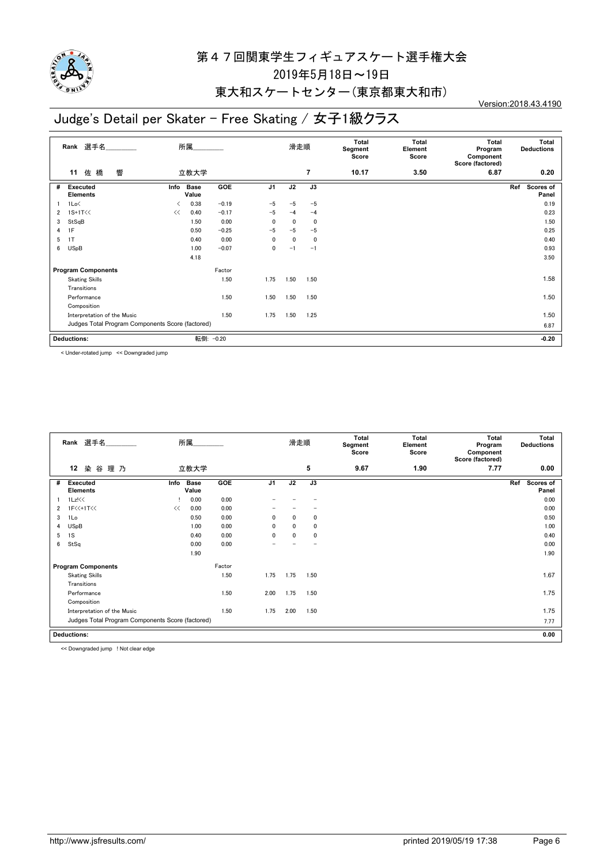

#### 東大和スケートセンター(東京都東大和市)

# Judge's Detail per Skater - Free Skating / 女子1級クラス

Version:2018.43.4190

|   | Rank 選手名<br>所属                                   |           |                      |         | 滑走順            |              | Total<br>Segment<br>Score | Total<br>Element<br>Score | Total<br>Program<br>Component<br>Score (factored) | Total<br><b>Deductions</b> |                           |
|---|--------------------------------------------------|-----------|----------------------|---------|----------------|--------------|---------------------------|---------------------------|---------------------------------------------------|----------------------------|---------------------------|
|   | 響<br>佐橋<br>11                                    |           | 立教大学                 |         |                |              | 7                         | 10.17                     | 3.50                                              | 6.87                       | 0.20                      |
| # | <b>Executed</b><br><b>Elements</b>               | Info      | <b>Base</b><br>Value | GOE     | J <sub>1</sub> | J2           | J3                        |                           |                                                   |                            | Scores of<br>Ref<br>Panel |
|   | 1Lo<                                             | $\langle$ | 0.38                 | $-0.19$ | $-5$           | $-5$         | $-5$                      |                           |                                                   |                            | 0.19                      |
| 2 | $1S+1T<<$                                        | <<        | 0.40                 | $-0.17$ | $-5$           | $-4$         | $-4$                      |                           |                                                   |                            | 0.23                      |
| 3 | StSqB                                            |           | 1.50                 | 0.00    | $\mathbf{0}$   | 0            | 0                         |                           |                                                   |                            | 1.50                      |
| 4 | 1F                                               |           | 0.50                 | $-0.25$ | $-5$           | $-5$         | $-5$                      |                           |                                                   |                            | 0.25                      |
| 5 | 1T                                               |           | 0.40                 | 0.00    | 0              | $\mathbf{0}$ | $\mathbf 0$               |                           |                                                   |                            | 0.40                      |
| 6 | <b>USpB</b>                                      |           | 1.00                 | $-0.07$ | 0              | $-1$         | $-1$                      |                           |                                                   |                            | 0.93                      |
|   |                                                  |           | 4.18                 |         |                |              |                           |                           |                                                   |                            | 3.50                      |
|   | <b>Program Components</b>                        |           |                      | Factor  |                |              |                           |                           |                                                   |                            |                           |
|   | <b>Skating Skills</b>                            |           |                      | 1.50    | 1.75           | 1.50         | 1.50                      |                           |                                                   |                            | 1.58                      |
|   | Transitions                                      |           |                      |         |                |              |                           |                           |                                                   |                            |                           |
|   | Performance                                      |           |                      | 1.50    | 1.50           | 1.50         | 1.50                      |                           |                                                   |                            | 1.50                      |
|   | Composition                                      |           |                      |         |                |              |                           |                           |                                                   |                            |                           |
|   | Interpretation of the Music                      |           |                      | 1.50    | 1.75           | 1.50         | 1.25                      |                           |                                                   |                            | 1.50                      |
|   | Judges Total Program Components Score (factored) |           |                      |         |                |              |                           |                           |                                                   |                            | 6.87                      |
|   | 転倒:<br><b>Deductions:</b><br>$-0.20$             |           |                      |         |                |              |                           |                           |                                                   |                            | $-0.20$                   |

< Under-rotated jump << Downgraded jump

|   | Rank 選手名                                         | 所属   |                      |        |                | 滑走順          |              | Total<br>Segment<br>Score | Total<br>Element<br>Score | Total<br>Program<br>Component<br>Score (factored) | Total<br><b>Deductions</b> |
|---|--------------------------------------------------|------|----------------------|--------|----------------|--------------|--------------|---------------------------|---------------------------|---------------------------------------------------|----------------------------|
|   | 12<br>染谷理乃                                       |      | 立教大学                 |        |                |              | 5            | 9.67                      | 1.90                      | 7.77                                              | 0.00                       |
| # | <b>Executed</b><br><b>Elements</b>               | Info | <b>Base</b><br>Value | GOE    | J <sub>1</sub> | J2           | J3           |                           |                           |                                                   | Scores of<br>Ref<br>Panel  |
|   | 1Lz!<<                                           |      | 0.00                 | 0.00   |                |              |              |                           |                           |                                                   | 0.00                       |
| 2 | 1F<<+1T<<                                        | <<   | 0.00                 | 0.00   |                |              |              |                           |                           |                                                   | 0.00                       |
| 3 | 1Lo                                              |      | 0.50                 | 0.00   | 0              | 0            | $\mathbf{0}$ |                           |                           |                                                   | 0.50                       |
| 4 | <b>USpB</b>                                      |      | 1.00                 | 0.00   | $\mathbf{0}$   | $\mathbf{0}$ | 0            |                           |                           |                                                   | 1.00                       |
| 5 | 1S                                               |      | 0.40                 | 0.00   | $\mathbf{0}$   | $\mathbf{0}$ | $\mathbf 0$  |                           |                           |                                                   | 0.40                       |
| 6 | StSq                                             |      | 0.00                 | 0.00   |                |              |              |                           |                           |                                                   | 0.00                       |
|   |                                                  |      | 1.90                 |        |                |              |              |                           |                           |                                                   | 1.90                       |
|   | <b>Program Components</b>                        |      |                      | Factor |                |              |              |                           |                           |                                                   |                            |
|   | <b>Skating Skills</b>                            |      |                      | 1.50   | 1.75           | 1.75         | 1.50         |                           |                           |                                                   | 1.67                       |
|   | Transitions                                      |      |                      |        |                |              |              |                           |                           |                                                   |                            |
|   | Performance                                      |      |                      | 1.50   | 2.00           | 1.75         | 1.50         |                           |                           |                                                   | 1.75                       |
|   | Composition                                      |      |                      |        |                |              |              |                           |                           |                                                   |                            |
|   | Interpretation of the Music                      |      |                      | 1.50   | 1.75           | 2.00         | 1.50         |                           |                           |                                                   | 1.75                       |
|   | Judges Total Program Components Score (factored) |      |                      |        |                |              |              |                           |                           |                                                   | 7.77                       |
|   | <b>Deductions:</b>                               |      |                      |        |                |              |              |                           |                           | 0.00                                              |                            |

<< Downgraded jump ! Not clear edge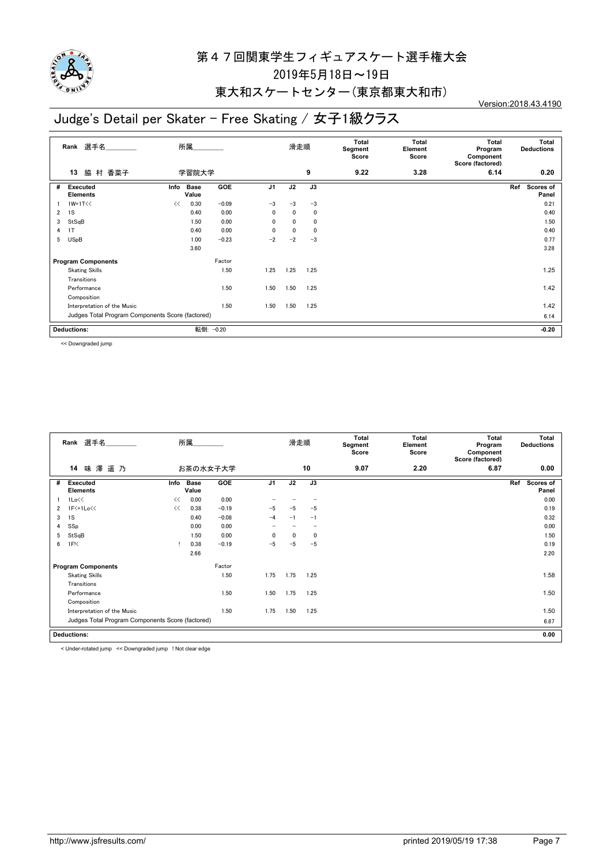

#### 東大和スケートセンター(東京都東大和市)

## Judge's Detail per Skater - Free Skating / 女子1級クラス

Version:2018.43.4190

|                           | Rank 選手名<br>所属                                   |      |                      |            |                | 滑走順          |      | Total<br>Segment<br>Score | Total<br>Element<br>Score | Total<br>Program<br>Component<br>Score (factored) | Total<br><b>Deductions</b> |
|---------------------------|--------------------------------------------------|------|----------------------|------------|----------------|--------------|------|---------------------------|---------------------------|---------------------------------------------------|----------------------------|
|                           | 村 香菜子<br>脇<br>13                                 |      | 学習院大学                |            |                |              | 9    | 9.22                      | 3.28                      | 6.14                                              | 0.20                       |
| #                         | Executed<br><b>Elements</b>                      | Info | <b>Base</b><br>Value | <b>GOE</b> | J <sub>1</sub> | J2           | J3   |                           |                           |                                                   | Ref<br>Scores of<br>Panel  |
|                           | $1W+1T<<$                                        | <<   | 0.30                 | $-0.09$    | $-3$           | $-3$         | $-3$ |                           |                           |                                                   | 0.21                       |
| 2                         | 1S                                               |      | 0.40                 | 0.00       | 0              | $\mathbf{0}$ | 0    |                           |                           |                                                   | 0.40                       |
| 3                         | StSqB                                            |      | 1.50                 | 0.00       | $\mathbf{0}$   | $\mathbf{0}$ | 0    |                           |                           |                                                   | 1.50                       |
| 4                         | 1T                                               |      | 0.40                 | 0.00       | $\mathbf{0}$   | $\mathbf{0}$ | 0    |                           |                           |                                                   | 0.40                       |
| 5                         | <b>USpB</b>                                      |      | 1.00                 | $-0.23$    | $-2$           | $-2$         | $-3$ |                           |                           |                                                   | 0.77                       |
|                           |                                                  |      | 3.60                 |            |                |              |      |                           |                           |                                                   | 3.28                       |
| <b>Program Components</b> |                                                  |      |                      | Factor     |                |              |      |                           |                           |                                                   |                            |
|                           | <b>Skating Skills</b>                            |      |                      | 1.50       | 1.25           | 1.25         | 1.25 |                           |                           |                                                   | 1.25                       |
|                           | Transitions                                      |      |                      |            |                |              |      |                           |                           |                                                   |                            |
|                           | Performance                                      |      |                      | 1.50       | 1.50           | 1.50         | 1.25 |                           |                           |                                                   | 1.42                       |
|                           | Composition                                      |      |                      |            |                |              |      |                           |                           |                                                   |                            |
|                           | Interpretation of the Music                      |      |                      | 1.50       | 1.50           | 1.50         | 1.25 |                           |                           |                                                   | 1.42                       |
|                           | Judges Total Program Components Score (factored) |      |                      |            |                |              |      |                           |                           |                                                   | 6.14                       |
|                           | <b>Deductions:</b>                               |      |                      | 転倒: -0.20  |                |              |      |                           |                           |                                                   | $-0.20$                    |

<< Downgraded jump

|                    | 選手名<br>Rank                                      | 所属   |                      |            |                          | 滑走順          |             | Total<br>Segment<br>Score | Total<br>Element<br>Score | Total<br>Program<br>Component<br>Score (factored) | Total<br><b>Deductions</b> |
|--------------------|--------------------------------------------------|------|----------------------|------------|--------------------------|--------------|-------------|---------------------------|---------------------------|---------------------------------------------------|----------------------------|
|                    | 味澤<br>14<br>遥乃<br>お茶の水女子大学                       |      |                      |            |                          |              | 10          | 9.07                      | 2.20                      | 6.87                                              | 0.00                       |
| #                  | <b>Executed</b><br><b>Elements</b>               | Info | <b>Base</b><br>Value | <b>GOE</b> | J <sub>1</sub>           | J2           | J3          |                           |                           |                                                   | Ref<br>Scores of<br>Panel  |
|                    | 1Lo<<                                            | <<   | 0.00                 | 0.00       |                          |              |             |                           |                           |                                                   | 0.00                       |
| 2                  | 1F<+1Lo<<                                        | <<   | 0.38                 | $-0.19$    | $-5$                     | $-5$         | $-5$        |                           |                           |                                                   | 0.19                       |
| 3                  | 1S                                               |      | 0.40                 | $-0.08$    | $-4$                     | $-1$         | $-1$        |                           |                           |                                                   | 0.32                       |
| 4                  | SSp                                              |      | 0.00                 | 0.00       | $\overline{\phantom{0}}$ |              |             |                           |                           |                                                   | 0.00                       |
| 5                  | StSqB                                            |      | 1.50                 | 0.00       | $\mathbf{0}$             | $\mathbf{0}$ | $\mathbf 0$ |                           |                           |                                                   | 1.50                       |
| 6                  | 1F <sub>1</sub>                                  |      | 0.38                 | $-0.19$    | $-5$                     | -5           | $-5$        |                           |                           |                                                   | 0.19                       |
|                    |                                                  |      | 2.66                 |            |                          |              |             |                           |                           |                                                   | 2.20                       |
|                    | <b>Program Components</b>                        |      | Factor               |            |                          |              |             |                           |                           |                                                   |                            |
|                    | <b>Skating Skills</b>                            |      |                      | 1.50       | 1.75                     | 1.75         | 1.25        |                           |                           |                                                   | 1.58                       |
|                    | Transitions                                      |      |                      |            |                          |              |             |                           |                           |                                                   |                            |
|                    | Performance                                      |      |                      | 1.50       | 1.50                     | 1.75         | 1.25        |                           |                           |                                                   | 1.50                       |
|                    | Composition                                      |      |                      |            |                          |              |             |                           |                           |                                                   |                            |
|                    | Interpretation of the Music                      |      |                      | 1.50       | 1.75                     | 1.50         | 1.25        |                           |                           |                                                   | 1.50                       |
|                    | Judges Total Program Components Score (factored) |      |                      |            |                          |              |             |                           |                           |                                                   | 6.87                       |
| <b>Deductions:</b> |                                                  |      |                      |            |                          |              |             |                           |                           |                                                   |                            |
|                    |                                                  |      |                      |            |                          |              |             |                           |                           |                                                   |                            |

< Under-rotated jump << Downgraded jump ! Not clear edge